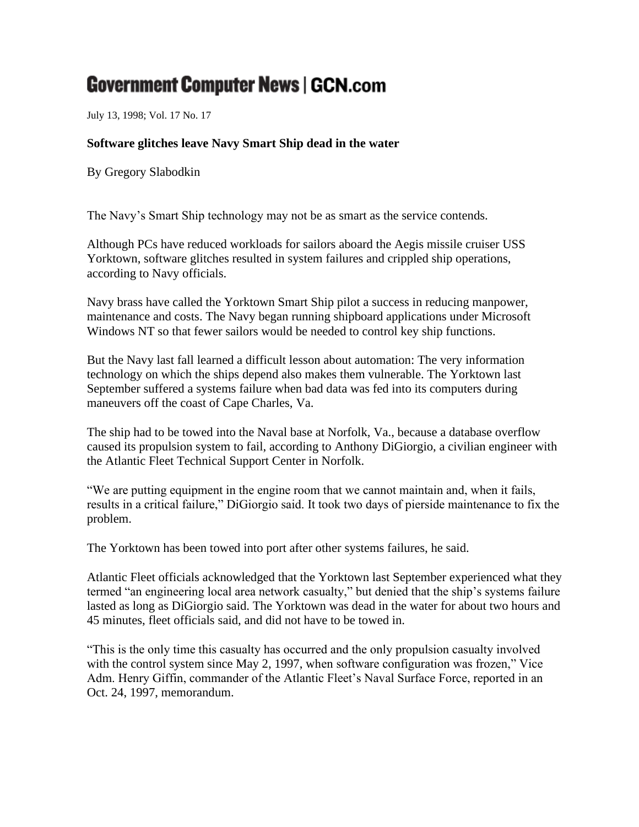## **Government Computer News | GCN.com**

July 13, 1998; Vol. 17 No. 17

## **Software glitches leave Navy Smart Ship dead in the water**

By Gregory Slabodkin

The Navy's Smart Ship technology may not be as smart as the service contends.

Although PCs have reduced workloads for sailors aboard the Aegis missile cruiser USS Yorktown, software glitches resulted in system failures and crippled ship operations, according to Navy officials.

Navy brass have called the Yorktown Smart Ship pilot a success in reducing manpower, maintenance and costs. The Navy began running shipboard applications under Microsoft Windows NT so that fewer sailors would be needed to control key ship functions.

But the Navy last fall learned a difficult lesson about automation: The very information technology on which the ships depend also makes them vulnerable. The Yorktown last September suffered a systems failure when bad data was fed into its computers during maneuvers off the coast of Cape Charles, Va.

The ship had to be towed into the Naval base at Norfolk, Va., because a database overflow caused its propulsion system to fail, according to Anthony DiGiorgio, a civilian engineer with the Atlantic Fleet Technical Support Center in Norfolk.

"We are putting equipment in the engine room that we cannot maintain and, when it fails, results in a critical failure," DiGiorgio said. It took two days of pierside maintenance to fix the problem.

The Yorktown has been towed into port after other systems failures, he said.

Atlantic Fleet officials acknowledged that the Yorktown last September experienced what they termed "an engineering local area network casualty," but denied that the ship's systems failure lasted as long as DiGiorgio said. The Yorktown was dead in the water for about two hours and 45 minutes, fleet officials said, and did not have to be towed in.

"This is the only time this casualty has occurred and the only propulsion casualty involved with the control system since May 2, 1997, when software configuration was frozen," Vice Adm. Henry Giffin, commander of the Atlantic Fleet's Naval Surface Force, reported in an Oct. 24, 1997, memorandum.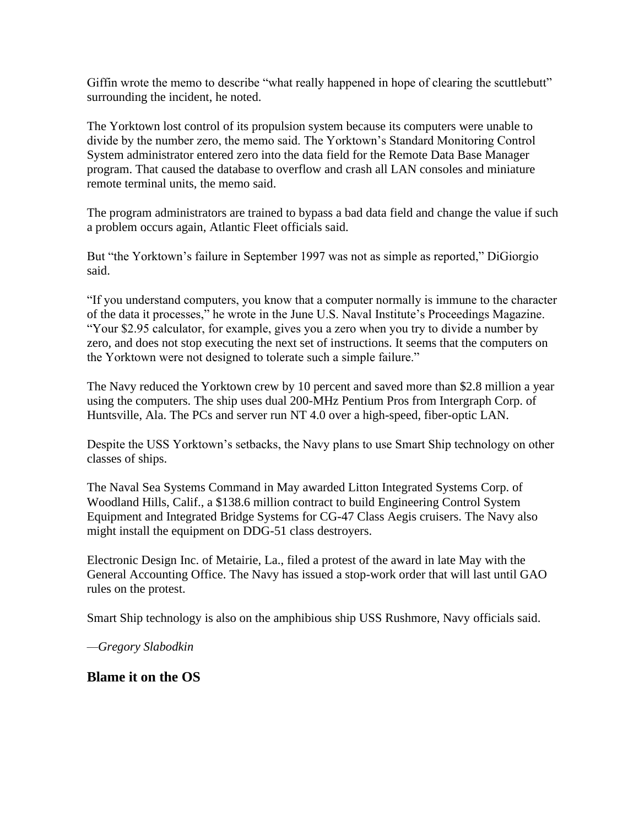Giffin wrote the memo to describe "what really happened in hope of clearing the scuttlebutt" surrounding the incident, he noted.

The Yorktown lost control of its propulsion system because its computers were unable to divide by the number zero, the memo said. The Yorktown's Standard Monitoring Control System administrator entered zero into the data field for the Remote Data Base Manager program. That caused the database to overflow and crash all LAN consoles and miniature remote terminal units, the memo said.

The program administrators are trained to bypass a bad data field and change the value if such a problem occurs again, Atlantic Fleet officials said.

But "the Yorktown's failure in September 1997 was not as simple as reported," DiGiorgio said.

"If you understand computers, you know that a computer normally is immune to the character of the data it processes," he wrote in the June U.S. Naval Institute's Proceedings Magazine. "Your \$2.95 calculator, for example, gives you a zero when you try to divide a number by zero, and does not stop executing the next set of instructions. It seems that the computers on the Yorktown were not designed to tolerate such a simple failure."

The Navy reduced the Yorktown crew by 10 percent and saved more than \$2.8 million a year using the computers. The ship uses dual 200-MHz Pentium Pros from Intergraph Corp. of Huntsville, Ala. The PCs and server run NT 4.0 over a high-speed, fiber-optic LAN.

Despite the USS Yorktown's setbacks, the Navy plans to use Smart Ship technology on other classes of ships.

The Naval Sea Systems Command in May awarded Litton Integrated Systems Corp. of Woodland Hills, Calif., a \$138.6 million contract to build Engineering Control System Equipment and Integrated Bridge Systems for CG-47 Class Aegis cruisers. The Navy also might install the equipment on DDG-51 class destroyers.

Electronic Design Inc. of Metairie, La., filed a protest of the award in late May with the General Accounting Office. The Navy has issued a stop-work order that will last until GAO rules on the protest.

Smart Ship technology is also on the amphibious ship USS Rushmore, Navy officials said.

*—Gregory Slabodkin*

**Blame it on the OS**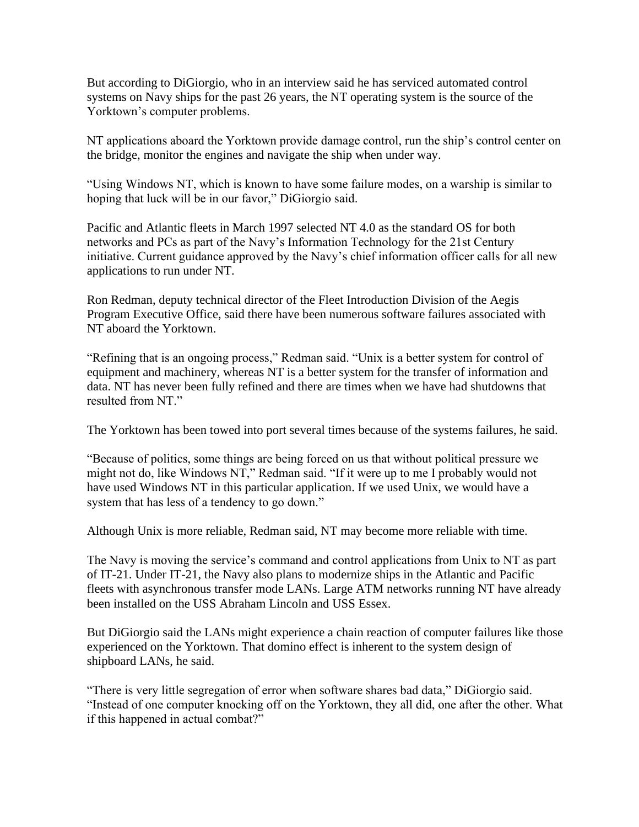But according to DiGiorgio, who in an interview said he has serviced automated control systems on Navy ships for the past 26 years, the NT operating system is the source of the Yorktown's computer problems.

NT applications aboard the Yorktown provide damage control, run the ship's control center on the bridge, monitor the engines and navigate the ship when under way.

"Using Windows NT, which is known to have some failure modes, on a warship is similar to hoping that luck will be in our favor," DiGiorgio said.

Pacific and Atlantic fleets in March 1997 selected NT 4.0 as the standard OS for both networks and PCs as part of the Navy's Information Technology for the 21st Century initiative. Current guidance approved by the Navy's chief information officer calls for all new applications to run under NT.

Ron Redman, deputy technical director of the Fleet Introduction Division of the Aegis Program Executive Office, said there have been numerous software failures associated with NT aboard the Yorktown.

"Refining that is an ongoing process," Redman said. "Unix is a better system for control of equipment and machinery, whereas NT is a better system for the transfer of information and data. NT has never been fully refined and there are times when we have had shutdowns that resulted from NT".

The Yorktown has been towed into port several times because of the systems failures, he said.

"Because of politics, some things are being forced on us that without political pressure we might not do, like Windows NT," Redman said. "If it were up to me I probably would not have used Windows NT in this particular application. If we used Unix, we would have a system that has less of a tendency to go down."

Although Unix is more reliable, Redman said, NT may become more reliable with time.

The Navy is moving the service's command and control applications from Unix to NT as part of IT-21. Under IT-21, the Navy also plans to modernize ships in the Atlantic and Pacific fleets with asynchronous transfer mode LANs. Large ATM networks running NT have already been installed on the USS Abraham Lincoln and USS Essex.

But DiGiorgio said the LANs might experience a chain reaction of computer failures like those experienced on the Yorktown. That domino effect is inherent to the system design of shipboard LANs, he said.

"There is very little segregation of error when software shares bad data," DiGiorgio said. "Instead of one computer knocking off on the Yorktown, they all did, one after the other. What if this happened in actual combat?"